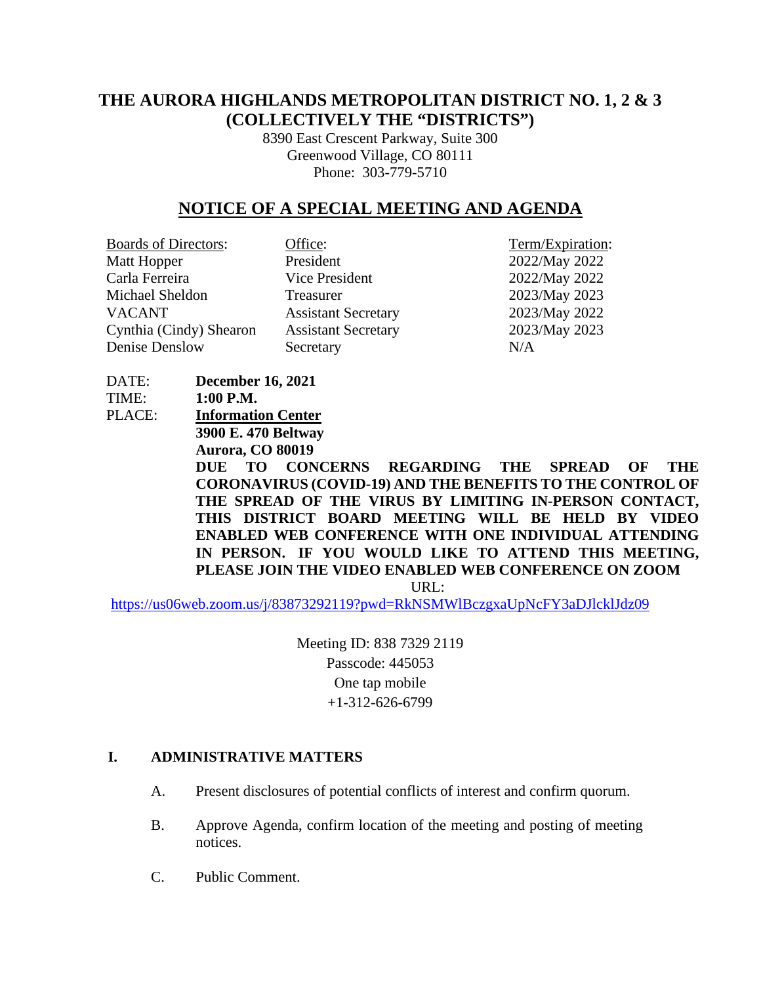# **THE AURORA HIGHLANDS METROPOLITAN DISTRICT NO. 1, 2 & 3 (COLLECTIVELY THE "DISTRICTS")**

8390 East Crescent Parkway, Suite 300 Greenwood Village, CO 80111 Phone: 303-779-5710

# **NOTICE OF A SPECIAL MEETING AND AGENDA**

| <b>Boards of Directors:</b> | Office:                    | Term/Expiration: |
|-----------------------------|----------------------------|------------------|
| Matt Hopper                 | President                  | 2022/May 2022    |
| Carla Ferreira              | Vice President             | 2022/May 2022    |
| Michael Sheldon             | Treasurer                  | 2023/May 2023    |
| <b>VACANT</b>               | <b>Assistant Secretary</b> | 2023/May 2022    |
| Cynthia (Cindy) Shearon     | <b>Assistant Secretary</b> | 2023/May 2023    |
| Denise Denslow              | Secretary                  | N/A              |
|                             |                            |                  |

DATE: **December 16, 2021**  TIME: **1:00 P.M.** PLACE: **Information Center 3900 E. 470 Beltway Aurora, CO 80019 DUE TO CONCERNS REGARDING THE SPREAD OF THE CORONAVIRUS (COVID-19) AND THE BENEFITS TO THE CONTROL OF THE SPREAD OF THE VIRUS BY LIMITING IN-PERSON CONTACT, THIS DISTRICT BOARD MEETING WILL BE HELD BY VIDEO ENABLED WEB CONFERENCE WITH ONE INDIVIDUAL ATTENDING IN PERSON. IF YOU WOULD LIKE TO ATTEND THIS MEETING, PLEASE JOIN THE VIDEO ENABLED WEB CONFERENCE ON ZOOM** URL:

<https://us06web.zoom.us/j/83873292119?pwd=RkNSMWlBczgxaUpNcFY3aDJlcklJdz09>

Meeting ID: 838 7329 2119 Passcode: 445053 One tap mobile +1-312-626-6799

#### **I. ADMINISTRATIVE MATTERS**

- A. Present disclosures of potential conflicts of interest and confirm quorum.
- B. Approve Agenda, confirm location of the meeting and posting of meeting notices.
- C. Public Comment.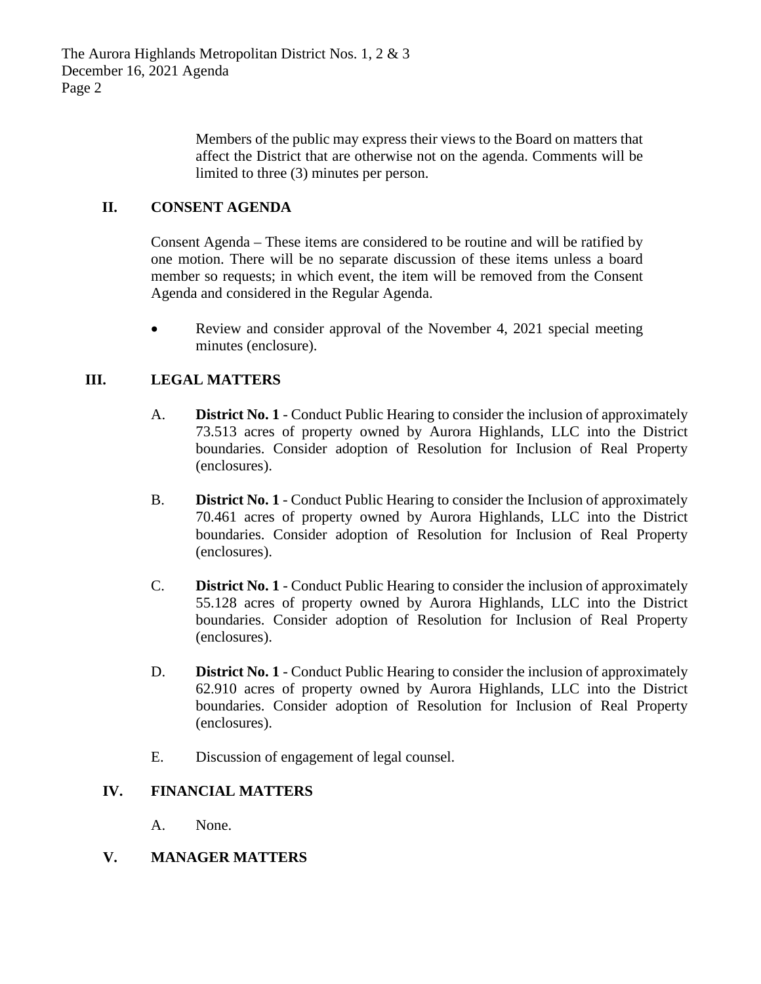Members of the public may express their views to the Board on matters that affect the District that are otherwise not on the agenda. Comments will be limited to three (3) minutes per person.

### **II. CONSENT AGENDA**

Consent Agenda – These items are considered to be routine and will be ratified by one motion. There will be no separate discussion of these items unless a board member so requests; in which event, the item will be removed from the Consent Agenda and considered in the Regular Agenda.

• Review and consider approval of the November 4, 2021 special meeting minutes (enclosure).

#### **III. LEGAL MATTERS**

- A. **District No. 1** Conduct Public Hearing to consider the inclusion of approximately 73.513 acres of property owned by Aurora Highlands, LLC into the District boundaries. Consider adoption of Resolution for Inclusion of Real Property (enclosures).
- B. **District No. 1** Conduct Public Hearing to consider the Inclusion of approximately 70.461 acres of property owned by Aurora Highlands, LLC into the District boundaries. Consider adoption of Resolution for Inclusion of Real Property (enclosures).
- C. **District No. 1** Conduct Public Hearing to consider the inclusion of approximately 55.128 acres of property owned by Aurora Highlands, LLC into the District boundaries. Consider adoption of Resolution for Inclusion of Real Property (enclosures).
- D. **District No. 1** Conduct Public Hearing to consider the inclusion of approximately 62.910 acres of property owned by Aurora Highlands, LLC into the District boundaries. Consider adoption of Resolution for Inclusion of Real Property (enclosures).
- E. Discussion of engagement of legal counsel.

#### **IV. FINANCIAL MATTERS**

A. None.

#### **V. MANAGER MATTERS**